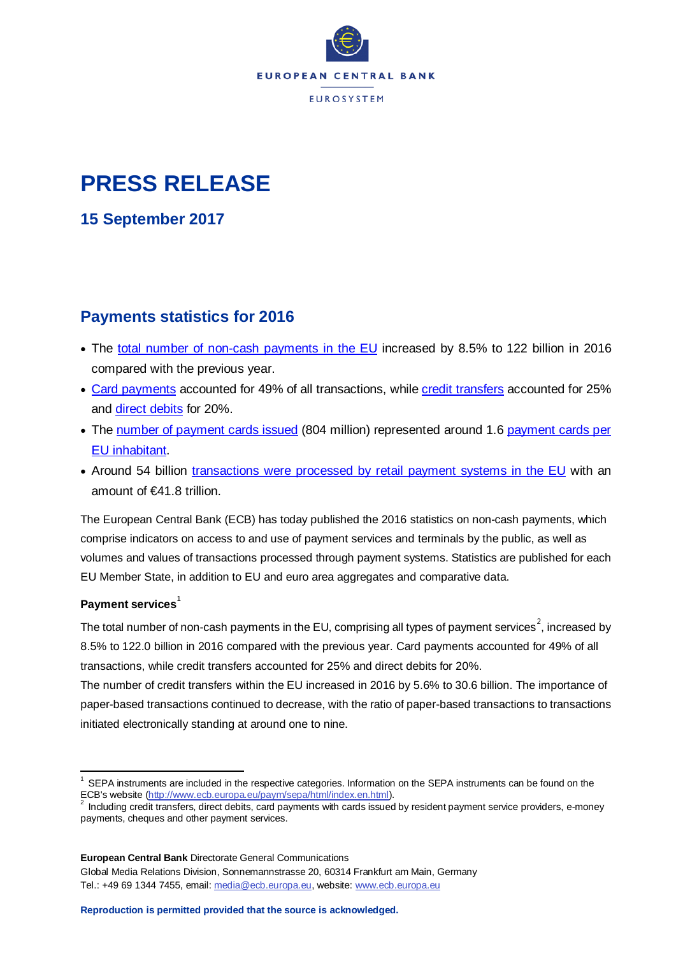

# **PRESS RELEASE**

**15 September 2017**

# **Payments statistics for 2016**

- The total [number of non-cash payments in the EU](http://sdw.ecb.europa.eu/browseSelection.do?type=series&q=PSS.A.D0.F000.I00.Z00Z.NT.X0.20.Z0Z.Z&node=SEARCHRESULTS&ec=&oc=&rc=&cv=&pb=&dc=&df=) increased by 8.5% to 122 billion in 2016 compared with the previous year.
- [Card payments](http://sdw.ecb.europa.eu/browseSelection.do?type=series&q=PSS.A.D0.F000.I1A.Z00Z.NP.X0.20.Z0Z.Z&node=SEARCHRESULTS&ec=&oc=&rc=&cv=&pb=&dc=&df=) accounted for 49% of all transactions, whil[e credit transfers](http://sdw.ecb.europa.eu/browseSelection.do?type=series&q=PSS.A.D0.F000.I31.Z00Z.NP.X0.20.Z0Z.Z&node=SEARCHRESULTS&ec=&oc=&rc=&cv=&pb=&dc=&df=) accounted for 25% and [direct debits](http://sdw.ecb.europa.eu/browseSelection.do?type=series&q=PSS.A.D0.F000.I34.Z00Z.NP.X0.20.Z0Z.Z&node=SEARCHRESULTS&ec=&oc=&rc=&cv=&pb=&dc=&df=) for 20%.
- The number [of payment cards issued](http://sdw.ecb.europa.eu/browseSelection.do?type=series&q=PSS.A.D0.S101.I1A.Z00Z.NT.X0.20.Z0Z.Z&node=SEARCHRESULTS&ec=&oc=&rc=&cv=&pb=&dc=&df=) (804 million) represented around 1.6 [payment cards per](http://sdw.ecb.europa.eu/browseSelection.do?type=series&q=PSS.A.D0.S101.I1A.Z00Z.NC.X0.20.Z0Z.Z&node=SEARCHRESULTS&ec=&oc=&rc=&cv=&pb=&dc=&df=)  [EU inhabitant.](http://sdw.ecb.europa.eu/browseSelection.do?type=series&q=PSS.A.D0.S101.I1A.Z00Z.NC.X0.20.Z0Z.Z&node=SEARCHRESULTS&ec=&oc=&rc=&cv=&pb=&dc=&df=)
- Around 54 billion transactions [were processed by retail payment systems in the EU](http://sdw.ecb.int/browseSelection.do?df=true&ec=&dc=&oc=&pb=&rc=&DATASET=0&removeItem=&removedItemList=&activeTab=&PSS_INFO_TYPE=F000&PSS_INSTRUMENT=I30&PSS_SYSTEM=P105&PSS_SYSTEM=P150&PSS_SYSTEM=P151&PSS_SYSTEM=P152&PSS_SYSTEM=P153&PSS_SYSTEM=P201&PSS_SYSTEM=P202&PSS_SYSTEM=P203&PSS_SYSTEM=P204&PSS_SYSTEM=P205&PSS_SYSTEM=P206&DATA_TYPE_PSS=NT&DATA_TYPE_PSS=VT&COUNT_AREA=X0&CURRENCY_TRANS=EUR&CURRENCY_TRANS=Z01&CURRENCY_TRANS=Z0Z&PSS_INFO_TYPE=F000&PSS_INSTRUMENT=I30&PSS_SYSTEM=P105&PSS_SYSTEM=P150&PSS_SYSTEM=P151&PSS_SYSTEM=P152&PSS_SYSTEM=P153&PSS_SYSTEM=P201&PSS_SYSTEM=P202&PSS_SYSTEM=P203&PSS_SYSTEM=P204&PSS_SYSTEM=P205&PSS_SYSTEM=P206&DATA_TYPE_PSS=NT&DATA_TYPE_PSS=VT&COUNT_AREA=X0&CURRENCY_TRANS=EUR&CURRENCY_TRANS=Z01&CURRENCY_TRANS=Z0Z&SERIES_DENOM=E&SERIES_DENOM=Z&node=9689709&legendPub=published&legendNor=) with an amount of €41.8 trillion.

The European Central Bank (ECB) has today published the 2016 statistics on non-cash payments, which comprise indicators on access to and use of payment services and terminals by the public, as well as volumes and values of transactions processed through payment systems. Statistics are published for each EU Member State, in addition to EU and euro area aggregates and comparative data.

# **Payment services**

The total number of non-cash payments in the EU, comprising all types of payment services $^2$  $^2$ , increased by 8.5% to 122.0 billion in 2016 compared with the previous year. Card payments accounted for 49% of all transactions, while credit transfers accounted for 25% and direct debits for 20%.

The number of credit transfers within the EU increased in 2016 by 5.6% to 30.6 billion. The importance of paper-based transactions continued to decrease, with the ratio of paper-based transactions to transactions initiated electronically standing at around one to nine.

**European Central Bank** Directorate General Communications Global Media Relations Division, Sonnemannstrasse 20, 60314 Frankfurt am Main, Germany Tel.: +49 69 1344 7455, email[: media@ecb.europa.eu,](mailto:media@ecb.europa.eu) website[: www.ecb.europa.eu](http://www.ecb.europa.eu/home/html/index.en.html)

<span id="page-0-0"></span> $1$  SEPA instruments are included in the respective categories. Information on the SEPA instruments can be found on the ECB's website [\(http://www.ecb.europa.eu/paym/sepa/html/index.en.html\)](http://www.ecb.europa.eu/paym/sepa/html/index.en.html).<br><sup>2</sup> Including credit transfers, direct debits, card payments with cards issued by resident payment service providers, e-money

<span id="page-0-1"></span>payments, cheques and other payment services.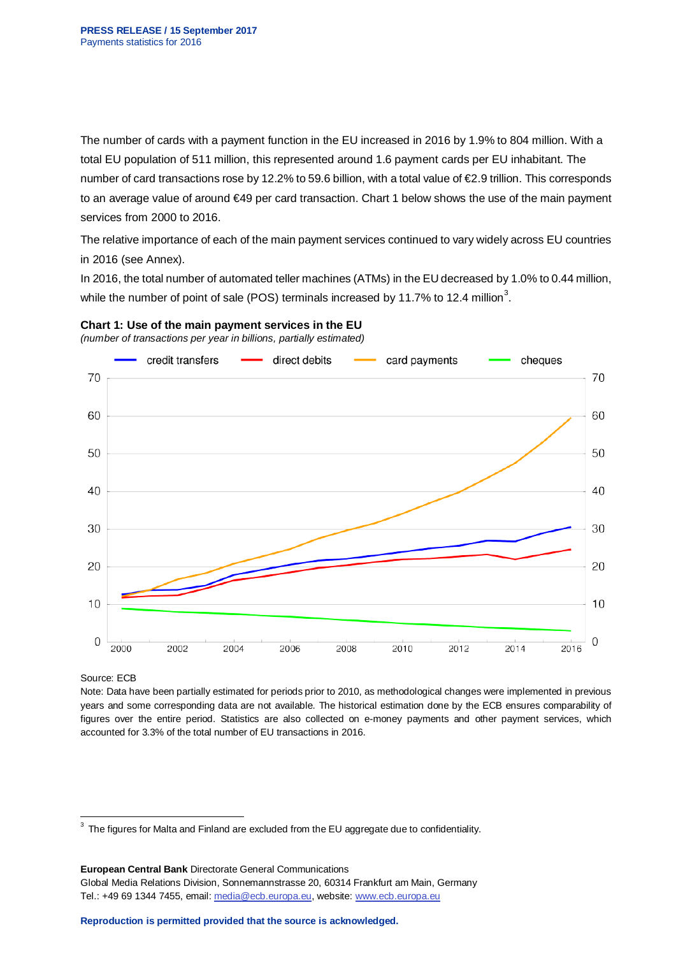The number of cards with a payment function in the EU increased in 2016 by 1.9% to 804 million. With a total EU population of 511 million, this represented around 1.6 payment cards per EU inhabitant. The number of card transactions rose by 12.2% to 59.6 billion, with a total value of €2.9 trillion. This corresponds to an average value of around €49 per card transaction. Chart 1 below shows the use of the main payment services from 2000 to 2016.

The relative importance of each of the main payment services continued to vary widely across EU countries in 2016 (see Annex).

In 2016, the total number of automated teller machines (ATMs) in the EU decreased by 1.0% to 0.44 million, while the number of point of sale (POS) terminals increased by 11.7% to 12.4 million<sup>[3](#page-1-0)</sup>.



*(number of transactions per year in billions, partially estimated)*



#### Source: ECB

Note: Data have been partially estimated for periods prior to 2010, as methodological changes were implemented in previous years and some corresponding data are not available. The historical estimation done by the ECB ensures comparability of figures over the entire period. Statistics are also collected on e-money payments and other payment services, which accounted for 3.3% of the total number of EU transactions in 2016.

**European Central Bank** Directorate General Communications Global Media Relations Division, Sonnemannstrasse 20, 60314 Frankfurt am Main, Germany Tel.: +49 69 1344 7455, email[: media@ecb.europa.eu,](mailto:media@ecb.europa.eu) website[: www.ecb.europa.eu](http://www.ecb.europa.eu/home/html/index.en.html)

<span id="page-1-0"></span> $3$  The figures for Malta and Finland are excluded from the EU aggregate due to confidentiality.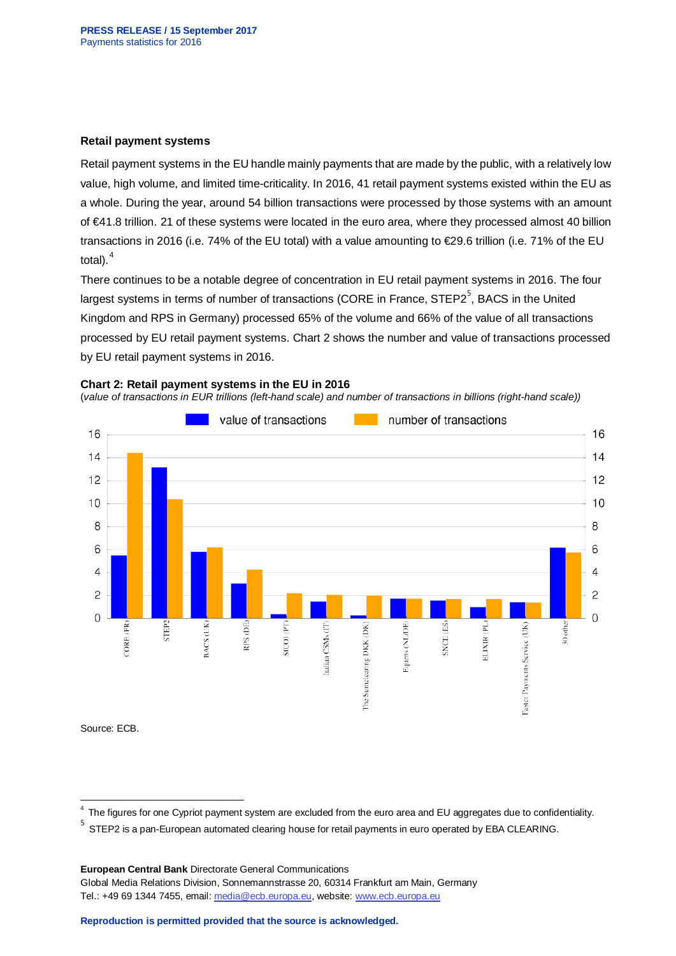#### **Retail payment systems**

Retail payment systems in the EU handle mainly payments that are made by the public, with a relatively low value, high volume, and limited time-criticality. In 2016, 41 retail payment systems existed within the EU as a whole. During the year, around 54 billion transactions were processed by those systems with an amount of €41.8 trillion. 21 of these systems were located in the euro area, where they processed almost 40 billion transactions in 2016 (i.e. 74% of the EU total) with a value amounting to €29.6 trillion (i.e. 71% of the EU total). $<sup>4</sup>$  $<sup>4</sup>$  $<sup>4</sup>$ </sup>

There continues to be a notable degree of concentration in EU retail payment systems in 2016. The four largest systems in terms of number of transactions (CORE in France, STEP2<sup>[5](#page-2-1)</sup>, BACS in the United Kingdom and RPS in Germany) processed 65% of the volume and 66% of the value of all transactions processed by EU retail payment systems. Chart 2 shows the number and value of transactions processed by EU retail payment systems in 2016.

#### **Chart 2: Retail payment systems in the EU in 2016**

(*value of transactions in EUR trillions (left-hand scale) and number of transactions in billions (right-hand scale))*



Source: ECB.

**European Central Bank** Directorate General Communications

Global Media Relations Division, Sonnemannstrasse 20, 60314 Frankfurt am Main, Germany Tel.: +49 69 1344 7455, email[: media@ecb.europa.eu,](mailto:media@ecb.europa.eu) website[: www.ecb.europa.eu](http://www.ecb.europa.eu/home/html/index.en.html)

<span id="page-2-0"></span>The figures for one Cypriot payment system are excluded from the euro area and EU aggregates due to confidentiality.

<span id="page-2-1"></span><sup>&</sup>lt;sup>5</sup> STEP2 is a pan-European automated clearing house for retail payments in euro operated by EBA CLEARING.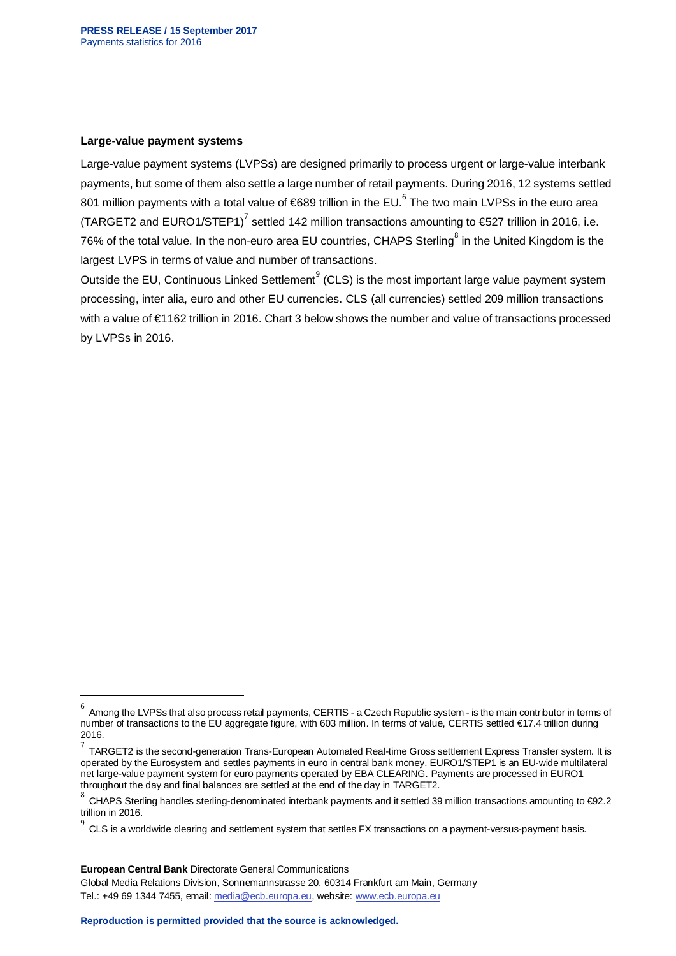#### **Large-value payment systems**

Large-value payment systems (LVPSs) are designed primarily to process urgent or large-value interbank payments, but some of them also settle a large number of retail payments. During 2016, 12 systems settled 801 million payments with a total value of  $689$  $689$  trillion in the EU.<sup>6</sup> The two main LVPSs in the euro area (TARGET2 and EURO1/STEP1)<sup>[7](#page-3-1)</sup> settled 142 million transactions amounting to  $\epsilon$ 527 trillion in 2016, i.e. 76% of the total value. In the non-euro area EU countries, CHAPS Sterling<sup>[8](#page-3-2)</sup> in the United Kingdom is the largest LVPS in terms of value and number of transactions.

Outside the EU, Continuous Linked Settlement<sup>[9](#page-3-3)</sup> (CLS) is the most important large value payment system processing, inter alia, euro and other EU currencies. CLS (all currencies) settled 209 million transactions with a value of €1162 trillion in 2016. Chart 3 below shows the number and value of transactions processed by LVPSs in 2016.

-

Global Media Relations Division, Sonnemannstrasse 20, 60314 Frankfurt am Main, Germany Tel.: +49 69 1344 7455, email[: media@ecb.europa.eu,](mailto:media@ecb.europa.eu) website[: www.ecb.europa.eu](http://www.ecb.europa.eu/home/html/index.en.html)

<span id="page-3-0"></span>Among the LVPSs that also process retail payments, CERTIS - a Czech Republic system - is the main contributor in terms of number of transactions to the EU aggregate figure, with 603 million. In terms of value, CERTIS settled €17.4 trillion during 2016.

<span id="page-3-1"></span><sup>7</sup> TARGET2 is the second-generation Trans-European Automated Real-time Gross settlement Express Transfer system. It is operated by the Eurosystem and settles payments in euro in central bank money. EURO1/STEP1 is an EU-wide multilateral net large-value payment system for euro payments operated by EBA CLEARING. Payments are processed in EURO1 throughout the day and final balances are settled at the end of the day in TARGET2.

<span id="page-3-2"></span><sup>8</sup> CHAPS Sterling handles sterling-denominated interbank payments and it settled 39 million transactions amounting to €92.2 trillion in 2016.

<span id="page-3-3"></span>CLS is a worldwide clearing and settlement system that settles FX transactions on a payment-versus-payment basis.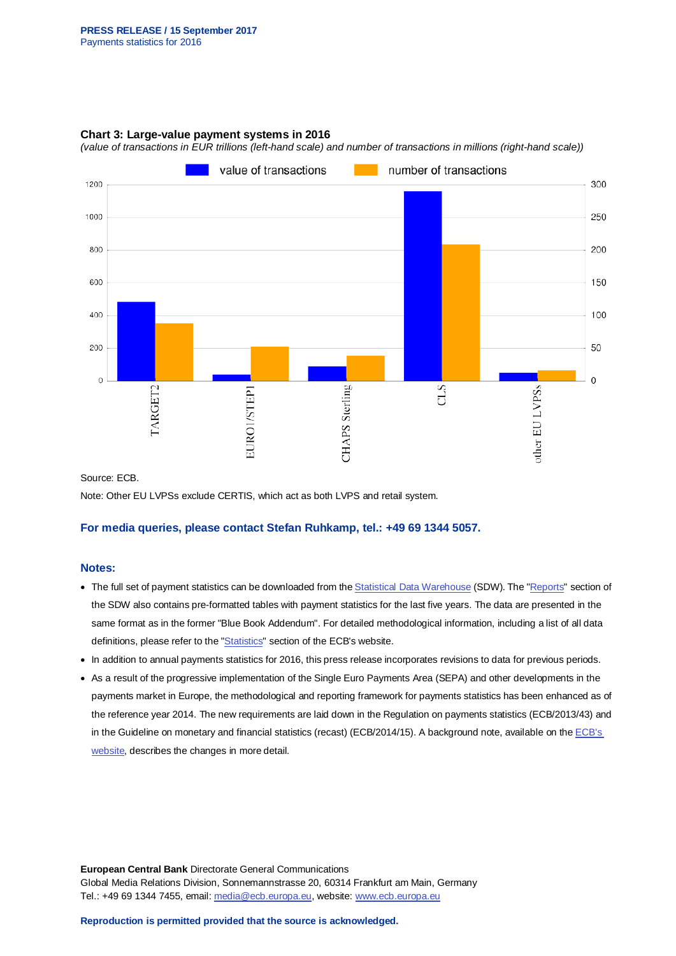## **Chart 3: Large-value payment systems in 2016**

*(value of transactions in EUR trillions (left-hand scale) and number of transactions in millions (right-hand scale))*



Source: ECB.

Note: Other EU LVPSs exclude CERTIS, which act as both LVPS and retail system.

#### **For media queries, please contact Stefan Ruhkamp, tel.: +49 69 1344 5057.**

## **Notes:**

- The full set of payment statistics can be downloaded from th[e Statistical Data Warehouse](http://sdw.ecb.europa.eu/browse.do?node=9691149) (SDW). The ["Reports"](http://sdw.ecb.europa.eu/reports.do?node=100000760) section of the SDW also contains pre-formatted tables with payment statistics for the last five years. The data are presented in the same format as in the former "Blue Book Addendum". For detailed methodological information, including a list of all data definitions, please refer to the ["Statistics"](http://www.ecb.europa.eu/stats/payment_statistics/payment_services/html/index.en.html) section of the ECB's website.
- In addition to annual payments statistics for 2016, this press release incorporates revisions to data for previous periods.
- As a result of the progressive implementation of the Single Euro Payments Area (SEPA) and other developments in the payments market in Europe, the methodological and reporting framework for payments statistics has been enhanced as of the reference year 2014. The new requirements are laid down in the Regulation on payments statistics (ECB/2013/43) and in the Guideline on monetary and financial statistics (recast) (ECB/2014/15). A background note, available on the ECB's [website,](http://www.ecb.europa.eu/stats/pdf/151012_enhanced_payments_statistics.pdf) describes the changes in more detail.

**European Central Bank** Directorate General Communications Global Media Relations Division, Sonnemannstrasse 20, 60314 Frankfurt am Main, Germany Tel.: +49 69 1344 7455, email[: media@ecb.europa.eu,](mailto:media@ecb.europa.eu) website[: www.ecb.europa.eu](http://www.ecb.europa.eu/home/html/index.en.html)